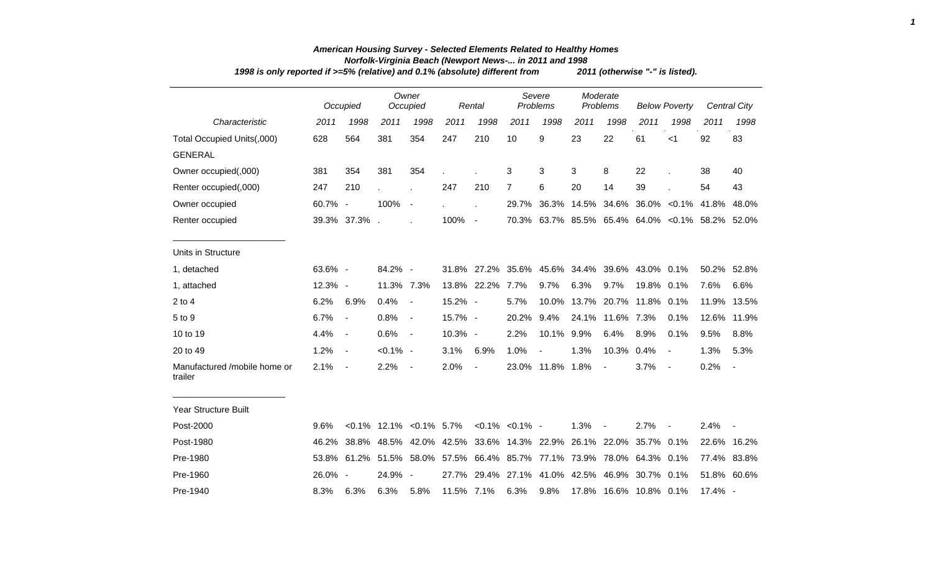| 1998 is only reported if >=5% (relative) and 0.1% (absolute) different from | 2011 (otherwise "-" is listed). |                          |             |                                |            |                          |                       |                                                       |                      |                |                                                                        |                          |              |                          |
|-----------------------------------------------------------------------------|---------------------------------|--------------------------|-------------|--------------------------------|------------|--------------------------|-----------------------|-------------------------------------------------------|----------------------|----------------|------------------------------------------------------------------------|--------------------------|--------------|--------------------------|
|                                                                             |                                 | Occupied                 |             | Owner<br>Occupied              |            | Rental                   |                       | Severe<br>Problems                                    | Moderate<br>Problems |                | <b>Below Poverty</b>                                                   |                          | Central City |                          |
| Characteristic                                                              | 2011                            | 1998                     | 2011        | 1998                           | 2011       | 1998                     | 2011                  | 1998                                                  | 2011                 | 1998           | 2011                                                                   | 1998                     | 2011         | 1998                     |
| Total Occupied Units(,000)                                                  | 628                             | 564                      | 381         | 354                            | 247        | 210                      | 10                    | 9                                                     | 23                   | 22             | 61                                                                     | $<$ 1                    | 92           | 83                       |
| <b>GENERAL</b>                                                              |                                 |                          |             |                                |            |                          |                       |                                                       |                      |                |                                                                        |                          |              |                          |
| Owner occupied(,000)                                                        | 381                             | 354                      | 381         | 354                            |            |                          | 3                     | 3                                                     | 3                    | 8              | 22                                                                     |                          | 38           | 40                       |
| Renter occupied(,000)                                                       | 247                             | 210                      |             |                                | 247        | 210                      | $\overline{7}$        | 6                                                     | 20                   | 14             | 39                                                                     |                          | 54           | 43                       |
| Owner occupied                                                              | 60.7% -                         |                          | 100%        | $\overline{\phantom{a}}$       |            |                          |                       | 29.7% 36.3%                                           | 14.5%                | 34.6%          |                                                                        | 36.0% < 0.1%             | 41.8%        | 48.0%                    |
| Renter occupied                                                             |                                 | 39.3% 37.3%.             |             |                                | 100%       | $\sim$                   |                       |                                                       |                      |                | 70.3% 63.7% 85.5% 65.4% 64.0% < 0.1% 58.2% 52.0%                       |                          |              |                          |
| Units in Structure                                                          |                                 |                          |             |                                |            |                          |                       |                                                       |                      |                |                                                                        |                          |              |                          |
| 1, detached                                                                 | 63.6% -                         |                          | 84.2% -     |                                |            |                          | 31.8% 27.2% 35.6%     | 45.6%                                                 |                      |                | 34.4% 39.6% 43.0% 0.1%                                                 |                          |              | 50.2% 52.8%              |
| 1, attached                                                                 | 12.3% -                         |                          | 11.3% 7.3%  |                                |            | 13.8% 22.2%              | 7.7%                  | 9.7%                                                  | 6.3%                 | 9.7%           | 19.8% 0.1%                                                             |                          | 7.6%         | 6.6%                     |
| $2$ to $4$                                                                  | 6.2%                            | 6.9%                     | 0.4%        | $\overline{\phantom{a}}$       | 15.2% -    |                          | 5.7%                  | 10.0%                                                 | 13.7%                |                | 20.7% 11.8% 0.1%                                                       |                          |              | 11.9% 13.5%              |
| 5 to 9                                                                      | 6.7%                            | $\blacksquare$           | 0.8%        | $\blacksquare$                 | 15.7% -    |                          | 20.2%                 | 9.4%                                                  | 24.1%                | 11.6%          | 7.3%                                                                   | 0.1%                     | 12.6%        | 11.9%                    |
| 10 to 19                                                                    | 4.4%                            | $\blacksquare$           | 0.6%        | $\blacksquare$                 | 10.3% -    |                          | 2.2%                  | 10.1%                                                 | 9.9%                 | 6.4%           | 8.9%                                                                   | 0.1%                     | 9.5%         | 8.8%                     |
| 20 to 49                                                                    | 1.2%                            | $\overline{\phantom{a}}$ | $< 0.1\%$ - |                                | 3.1%       | 6.9%                     | 1.0%                  |                                                       | 1.3%                 | 10.3%          | 0.4%                                                                   | $\blacksquare$           | 1.3%         | 5.3%                     |
| Manufactured /mobile home or<br>trailer                                     | 2.1%                            | $\overline{\phantom{a}}$ | 2.2%        | $\blacksquare$                 | 2.0%       | $\overline{\phantom{a}}$ |                       | 23.0% 11.8%                                           | 1.8%                 | $\blacksquare$ | 3.7%                                                                   | $\overline{\phantom{a}}$ | 0.2%         | $\overline{\phantom{a}}$ |
| Year Structure Built                                                        |                                 |                          |             |                                |            |                          |                       |                                                       |                      |                |                                                                        |                          |              |                          |
| Post-2000                                                                   | 9.6%                            |                          |             | $< 0.1\%$ 12.1% $< 0.1\%$ 5.7% |            |                          | $< 0.1\%$ $< 0.1\%$ - |                                                       | 1.3%                 | $\sim$ $-$     | 2.7%                                                                   | $\blacksquare$           | 2.4%         |                          |
| Post-1980                                                                   | 46.2%                           |                          |             |                                |            |                          |                       | 38.8% 48.5% 42.0% 42.5% 33.6% 14.3% 22.9% 26.1% 22.0% |                      |                | 35.7% 0.1%                                                             |                          |              | 22.6% 16.2%              |
| Pre-1980                                                                    |                                 |                          |             |                                |            |                          |                       |                                                       |                      |                | 53.8% 61.2% 51.5% 58.0% 57.5% 66.4% 85.7% 77.1% 73.9% 78.0% 64.3% 0.1% |                          |              | 77.4% 83.8%              |
| Pre-1960                                                                    | 26.0%                           | $\overline{\phantom{a}}$ | 24.9%       |                                | 27.7%      |                          |                       | 29.4% 27.1% 41.0% 42.5%                               |                      |                | 46.9% 30.7% 0.1%                                                       |                          |              | 51.8% 60.6%              |
| Pre-1940                                                                    | 8.3%                            | 6.3%                     | 6.3%        | 5.8%                           | 11.5% 7.1% |                          | 6.3%                  | 9.8%                                                  |                      |                | 17.8% 16.6% 10.8% 0.1%                                                 |                          | $17.4\%$ -   |                          |

*American Housing Survey - Selected Elements Related to Healthy Homes Norfolk-Virginia Beach (Newport News-... in 2011 and 1998*

*1*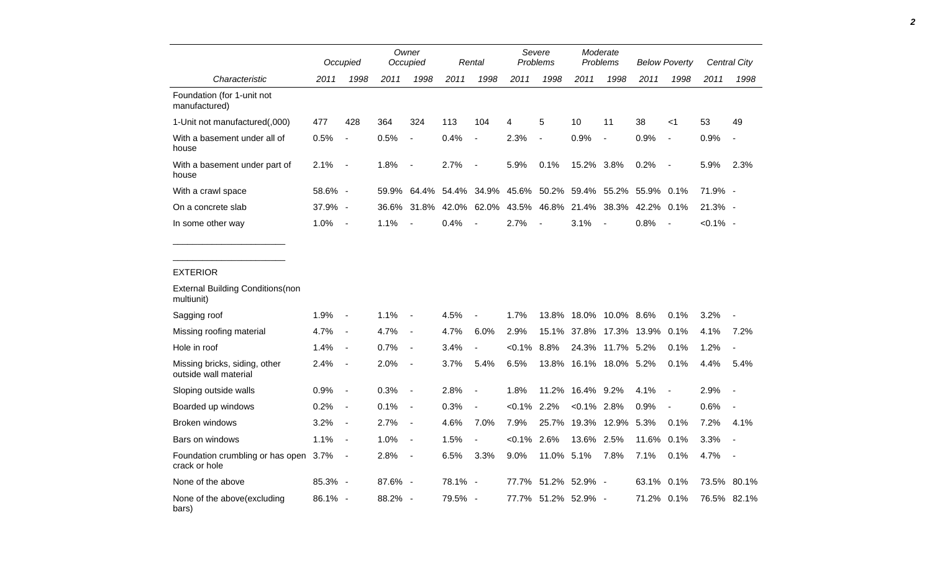|                                                        |         | Occupied                 |       | Owner<br>Occupied        |         | Rental                   | Severe<br><b>Problems</b> |                | Moderate<br>Problems |                          | <b>Below Poverty</b> |                          |             | Central City   |
|--------------------------------------------------------|---------|--------------------------|-------|--------------------------|---------|--------------------------|---------------------------|----------------|----------------------|--------------------------|----------------------|--------------------------|-------------|----------------|
| Characteristic                                         | 2011    | 1998                     | 2011  | 1998                     | 2011    | 1998                     | 2011                      | 1998           | 2011                 | 1998                     | 2011                 | 1998                     | 2011        | 1998           |
| Foundation (for 1-unit not<br>manufactured)            |         |                          |       |                          |         |                          |                           |                |                      |                          |                      |                          |             |                |
| 1-Unit not manufactured(,000)                          | 477     | 428                      | 364   | 324                      | 113     | 104                      | 4                         | 5              | 10                   | 11                       | 38                   | $<$ 1                    | 53          | 49             |
| With a basement under all of<br>house                  | 0.5%    | $\blacksquare$           | 0.5%  | $\overline{\phantom{a}}$ | 0.4%    | $\blacksquare$           | 2.3%                      | $\blacksquare$ | 0.9%                 | $\blacksquare$           | 0.9%                 | $\blacksquare$           | 0.9%        | $\blacksquare$ |
| With a basement under part of<br>house                 | 2.1%    | $\overline{\phantom{a}}$ | 1.8%  | $\blacksquare$           | 2.7%    | $\overline{\phantom{a}}$ | 5.9%                      | 0.1%           | 15.2%                | 3.8%                     | 0.2%                 | $\blacksquare$           | 5.9%        | 2.3%           |
| With a crawl space                                     | 58.6% - |                          | 59.9% | 64.4%                    | 54.4%   | 34.9%                    | 45.6%                     | 50.2%          | 59.4%                | 55.2%                    | 55.9% 0.1%           |                          | 71.9% -     |                |
| On a concrete slab                                     | 37.9% - |                          | 36.6% | 31.8%                    | 42.0%   | 62.0%                    | 43.5%                     | 46.8%          | 21.4%                | 38.3%                    | 42.2%                | 0.1%                     | 21.3% -     |                |
| In some other way                                      | 1.0%    | $\overline{\phantom{a}}$ | 1.1%  |                          | 0.4%    |                          | 2.7%                      |                | 3.1%                 | $\overline{\phantom{a}}$ | 0.8%                 | $\overline{\phantom{a}}$ | $< 0.1\%$ - |                |
| <b>EXTERIOR</b>                                        |         |                          |       |                          |         |                          |                           |                |                      |                          |                      |                          |             |                |
| <b>External Building Conditions (non</b><br>multiunit) |         |                          |       |                          |         |                          |                           |                |                      |                          |                      |                          |             |                |
| Sagging roof                                           | 1.9%    | $\overline{a}$           | 1.1%  | $\overline{\phantom{a}}$ | 4.5%    |                          | 1.7%                      | 13.8%          | 18.0%                | 10.0%                    | 8.6%                 | 0.1%                     | 3.2%        |                |
| Missing roofing material                               | 4.7%    | $\blacksquare$           | 4.7%  | $\blacksquare$           | 4.7%    | 6.0%                     | 2.9%                      | 15.1%          | 37.8%                | 17.3%                    | 13.9%                | 0.1%                     | 4.1%        | 7.2%           |
| Hole in roof                                           | 1.4%    | $\overline{a}$           | 0.7%  | $\overline{a}$           | 3.4%    | $\overline{a}$           | < 0.1%                    | 8.8%           | 24.3%                | 11.7% 5.2%               |                      | 0.1%                     | 1.2%        | $\overline{a}$ |
| Missing bricks, siding, other<br>outside wall material | 2.4%    | $\overline{\phantom{a}}$ | 2.0%  | $\overline{\phantom{a}}$ | 3.7%    | 5.4%                     | 6.5%                      | 13.8%          |                      | 16.1% 18.0% 5.2%         |                      | 0.1%                     | 4.4%        | 5.4%           |
| Sloping outside walls                                  | 0.9%    | $\overline{\phantom{a}}$ | 0.3%  | $\blacksquare$           | 2.8%    | $\overline{\phantom{a}}$ | 1.8%                      | 11.2%          | 16.4%                | 9.2%                     | 4.1%                 | $\blacksquare$           | 2.9%        | $\blacksquare$ |
| Boarded up windows                                     | 0.2%    | $\blacksquare$           | 0.1%  | $\overline{\phantom{a}}$ | 0.3%    | $\overline{\phantom{a}}$ | $< 0.1\%$                 | 2.2%           | $< 0.1\%$ 2.8%       |                          | 0.9%                 | $\blacksquare$           | 0.6%        |                |
| Broken windows                                         | 3.2%    | $\frac{1}{2}$            | 2.7%  | $\overline{a}$           | 4.6%    | 7.0%                     | 7.9%                      | 25.7%          | 19.3%                | 12.9%                    | 5.3%                 | 0.1%                     | 7.2%        | 4.1%           |
| Bars on windows                                        | 1.1%    | $\overline{\phantom{a}}$ | 1.0%  | $\overline{\phantom{a}}$ | 1.5%    | $\overline{a}$           | $< 0.1\%$                 | 2.6%           | 13.6%                | 2.5%                     | 11.6%                | 0.1%                     | 3.3%        | $\blacksquare$ |
| Foundation crumbling or has open 3.7%<br>crack or hole |         | $\overline{\phantom{a}}$ | 2.8%  | $\blacksquare$           | 6.5%    | 3.3%                     | 9.0%                      | 11.0% 5.1%     |                      | 7.8%                     | 7.1%                 | 0.1%                     | 4.7%        | $\overline{a}$ |
| None of the above                                      | 85.3% - |                          | 87.6% | $\overline{\phantom{a}}$ | 78.1%   | $\overline{\phantom{a}}$ | 77.7%                     |                | 51.2% 52.9% -        |                          | 63.1%                | 0.1%                     |             | 73.5% 80.1%    |
| None of the above(excluding<br>bars)                   | 86.1% - |                          | 88.2% | $\overline{\phantom{a}}$ | 79.5% - |                          | 77.7%                     |                | 51.2% 52.9% -        |                          | 71.2%                | 0.1%                     |             | 76.5% 82.1%    |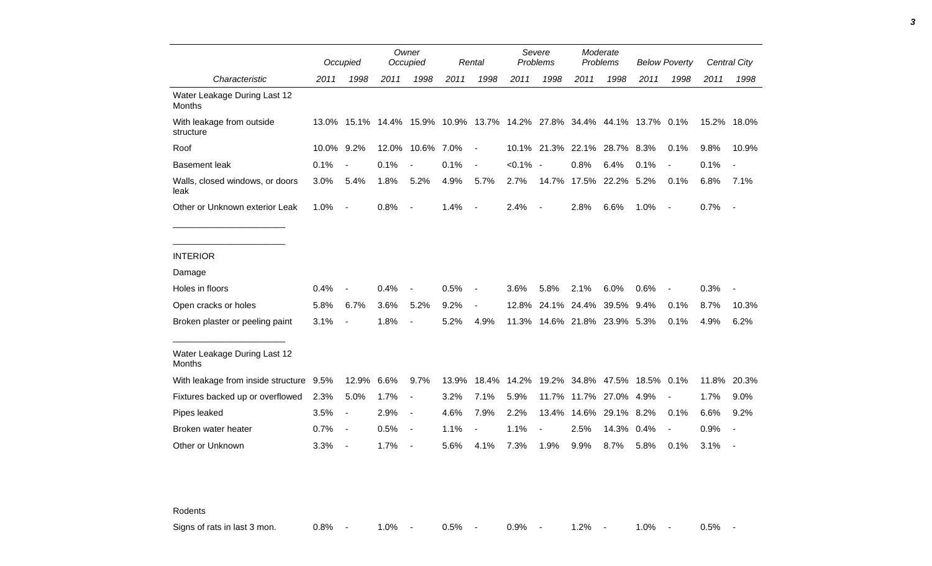|                                               | Occupied |                          | Owner<br>Occupied |                          |       | Rental                   |             | Severe<br>Problems                                                     |                        | Moderate<br>Problems |            | <b>Below Poverty</b> |       | <b>Central City</b>      |
|-----------------------------------------------|----------|--------------------------|-------------------|--------------------------|-------|--------------------------|-------------|------------------------------------------------------------------------|------------------------|----------------------|------------|----------------------|-------|--------------------------|
| Characteristic                                | 2011     | 1998                     | 2011              | 1998                     | 2011  | 1998                     | 2011        | 1998                                                                   | 2011                   | 1998                 | 2011       | 1998                 | 2011  | 1998                     |
| Water Leakage During Last 12<br>Months        |          |                          |                   |                          |       |                          |             |                                                                        |                        |                      |            |                      |       |                          |
| With leakage from outside<br>structure        |          |                          |                   |                          |       |                          |             | 13.0% 15.1% 14.4% 15.9% 10.9% 13.7% 14.2% 27.8% 34.4% 44.1% 13.7% 0.1% |                        |                      |            |                      |       | 15.2% 18.0%              |
| Roof                                          | 10.0%    | $9.2\%$                  | 12.0%             | 10.6%                    | 7.0%  | $\overline{\phantom{a}}$ |             | 10.1% 21.3% 22.1% 28.7% 8.3%                                           |                        |                      |            | 0.1%                 | 9.8%  | 10.9%                    |
| <b>Basement leak</b>                          | 0.1%     | $\blacksquare$           | 0.1%              | $\overline{\phantom{a}}$ | 0.1%  | $\overline{\phantom{a}}$ | $< 0.1\%$ - |                                                                        | 0.8%                   | 6.4%                 | 0.1%       | $\blacksquare$       | 0.1%  | $\overline{\phantom{a}}$ |
| Walls, closed windows, or doors<br>leak       | 3.0%     | 5.4%                     | 1.8%              | 5.2%                     | 4.9%  | 5.7%                     | 2.7%        | 14.7%                                                                  | 17.5% 22.2% 5.2%       |                      |            | 0.1%                 | 6.8%  | 7.1%                     |
| Other or Unknown exterior Leak                | 1.0%     | $\blacksquare$           | 0.8%              | $\overline{\phantom{a}}$ | 1.4%  | $\overline{\phantom{a}}$ | 2.4%        | $\blacksquare$                                                         | 2.8%                   | 6.6%                 | 1.0%       | $\blacksquare$       | 0.7%  | $\overline{\phantom{a}}$ |
|                                               |          |                          |                   |                          |       |                          |             |                                                                        |                        |                      |            |                      |       |                          |
| <b>INTERIOR</b>                               |          |                          |                   |                          |       |                          |             |                                                                        |                        |                      |            |                      |       |                          |
| Damage                                        |          |                          |                   |                          |       |                          |             |                                                                        |                        |                      |            |                      |       |                          |
| Holes in floors                               | 0.4%     |                          | 0.4%              |                          | 0.5%  |                          | 3.6%        | 5.8%                                                                   | 2.1%                   | 6.0%                 | 0.6%       |                      | 0.3%  |                          |
| Open cracks or holes                          | 5.8%     | 6.7%                     | 3.6%              | 5.2%                     | 9.2%  | $\overline{\phantom{a}}$ | 12.8%       | 24.1%                                                                  | 24.4%                  | 39.5%                | 9.4%       | 0.1%                 | 8.7%  | 10.3%                    |
| Broken plaster or peeling paint               | 3.1%     | $\overline{a}$           | 1.8%              | $\overline{\phantom{a}}$ | 5.2%  | 4.9%                     | 11.3%       |                                                                        | 14.6% 21.8% 23.9% 5.3% |                      |            | 0.1%                 | 4.9%  | 6.2%                     |
| Water Leakage During Last 12<br><b>Months</b> |          |                          |                   |                          |       |                          |             |                                                                        |                        |                      |            |                      |       |                          |
| With leakage from inside structure            | 9.5%     | 12.9%                    | 6.6%              | 9.7%                     | 13.9% | 18.4%                    | 14.2%       |                                                                        | 19.2% 34.8% 47.5%      |                      | 18.5% 0.1% |                      | 11.8% | 20.3%                    |
| Fixtures backed up or overflowed              | 2.3%     | 5.0%                     | 1.7%              | $\overline{\phantom{a}}$ | 3.2%  | 7.1%                     | 5.9%        | 11.7%                                                                  | 11.7%                  | 27.0%                | 4.9%       | $\blacksquare$       | 1.7%  | 9.0%                     |
| Pipes leaked                                  | 3.5%     | $\overline{\phantom{a}}$ | 2.9%              | $\overline{\phantom{a}}$ | 4.6%  | 7.9%                     | 2.2%        | 13.4%                                                                  | 14.6%                  | 29.1%                | 8.2%       | 0.1%                 | 6.6%  | 9.2%                     |
| Broken water heater                           | 0.7%     | $\overline{\phantom{a}}$ | 0.5%              | $\overline{\phantom{a}}$ | 1.1%  | $\blacksquare$           | 1.1%        | $\overline{\phantom{a}}$                                               | 2.5%                   | 14.3%                | 0.4%       | $\blacksquare$       | 0.9%  | $\overline{\phantom{a}}$ |
| Other or Unknown                              | 3.3%     | $\overline{\phantom{a}}$ | 1.7%              | $\overline{\phantom{a}}$ | 5.6%  | 4.1%                     | 7.3%        | 1.9%                                                                   | 9.9%                   | 8.7%                 | 5.8%       | 0.1%                 | 3.1%  |                          |

Rodents

Signs of rats in last 3 mon. <br>
0.8% - 1.0% - 0.5% - 0.5% - 0.9% - 0.9% - 1.2% - 1.0% - 0.5% -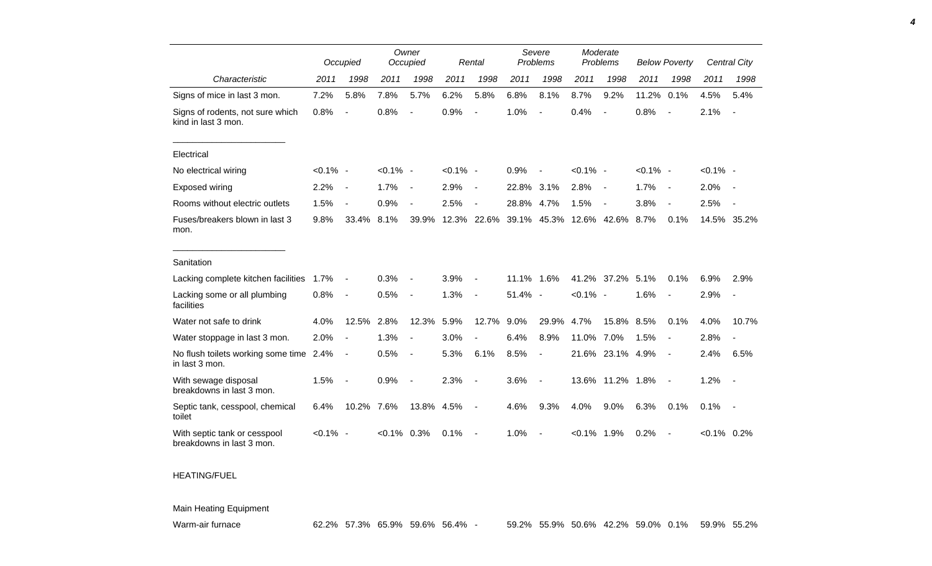|                                                           |             | Occupied                 | Owner<br>Occupied |                          |             | Rental                   |         | Severe<br>Problems       |             | Moderate<br>Problems     |             | <b>Below Poverty</b>     |                | <b>Central City</b>      |
|-----------------------------------------------------------|-------------|--------------------------|-------------------|--------------------------|-------------|--------------------------|---------|--------------------------|-------------|--------------------------|-------------|--------------------------|----------------|--------------------------|
| Characteristic                                            | 2011        | 1998                     | 2011              | 1998                     | 2011        | 1998                     | 2011    | 1998                     | 2011        | 1998                     | 2011        | 1998                     | 2011           | 1998                     |
| Signs of mice in last 3 mon.                              | 7.2%        | 5.8%                     | 7.8%              | 5.7%                     | 6.2%        | 5.8%                     | 6.8%    | 8.1%                     | 8.7%        | 9.2%                     | 11.2%       | 0.1%                     | 4.5%           | 5.4%                     |
| Signs of rodents, not sure which<br>kind in last 3 mon.   | 0.8%        |                          | 0.8%              |                          | 0.9%        | $\overline{\phantom{a}}$ | 1.0%    | $\overline{a}$           | 0.4%        |                          | 0.8%        | $\overline{\phantom{a}}$ | 2.1%           | $\overline{\phantom{a}}$ |
| Electrical                                                |             |                          |                   |                          |             |                          |         |                          |             |                          |             |                          |                |                          |
| No electrical wiring                                      | $< 0.1\%$ - |                          | $< 0.1\%$ -       |                          | $< 0.1\%$ - |                          | 0.9%    | $\blacksquare$           | $< 0.1\%$ - |                          | $< 0.1\%$ - |                          | $< 0.1\%$ -    |                          |
| Exposed wiring                                            | 2.2%        | $\overline{\phantom{a}}$ | 1.7%              | $\blacksquare$           | 2.9%        | $\overline{\phantom{a}}$ | 22.8%   | 3.1%                     | 2.8%        | $\overline{\phantom{a}}$ | 1.7%        | $\overline{\phantom{a}}$ | 2.0%           |                          |
| Rooms without electric outlets                            | 1.5%        | $\overline{\phantom{a}}$ | 0.9%              | $\overline{\phantom{a}}$ | 2.5%        | $\overline{\phantom{a}}$ | 28.8%   | 4.7%                     | 1.5%        | $\overline{\phantom{a}}$ | 3.8%        | $\blacksquare$           | 2.5%           | $\sim$                   |
| Fuses/breakers blown in last 3<br>mon.                    | 9.8%        | 33.4%                    | 8.1%              | 39.9%                    |             | 12.3% 22.6%              | 39.1%   | 45.3%                    | 12.6% 42.6% |                          | 8.7%        | 0.1%                     |                | 14.5% 35.2%              |
| Sanitation                                                |             |                          |                   |                          |             |                          |         |                          |             |                          |             |                          |                |                          |
| Lacking complete kitchen facilities                       | 1.7%        | $\overline{\phantom{a}}$ | 0.3%              |                          | 3.9%        |                          | 11.1%   | 1.6%                     |             | 41.2% 37.2%              | 5.1%        | 0.1%                     | 6.9%           | 2.9%                     |
| Lacking some or all plumbing<br>facilities                | 0.8%        | $\overline{\phantom{a}}$ | 0.5%              | $\blacksquare$           | 1.3%        | $\overline{\phantom{a}}$ | 51.4% - |                          | $< 0.1\%$ - |                          | 1.6%        | $\blacksquare$           | 2.9%           |                          |
| Water not safe to drink                                   | 4.0%        | 12.5%                    | 2.8%              | 12.3%                    | 5.9%        | 12.7%                    | 9.0%    | 29.9%                    | 4.7%        | 15.8%                    | 8.5%        | 0.1%                     | 4.0%           | 10.7%                    |
| Water stoppage in last 3 mon.                             | 2.0%        | $\blacksquare$           | 1.3%              | $\blacksquare$           | 3.0%        | $\blacksquare$           | 6.4%    | 8.9%                     | 11.0%       | 7.0%                     | 1.5%        | $\blacksquare$           | 2.8%           | $\blacksquare$           |
| No flush toilets working some time 2.4%<br>in last 3 mon. |             | $\blacksquare$           | 0.5%              | $\blacksquare$           | 5.3%        | 6.1%                     | 8.5%    | $\blacksquare$           |             | 21.6% 23.1% 4.9%         |             | $\blacksquare$           | 2.4%           | 6.5%                     |
| With sewage disposal<br>breakdowns in last 3 mon.         | 1.5%        | $\overline{a}$           | 0.9%              | $\overline{\phantom{a}}$ | 2.3%        | $\overline{\phantom{a}}$ | 3.6%    | $\overline{\phantom{a}}$ |             | 13.6% 11.2%              | 1.8%        | $\overline{\phantom{a}}$ | 1.2%           | $\sim$                   |
| Septic tank, cesspool, chemical<br>toilet                 | 6.4%        | 10.2%                    | 7.6%              | 13.8%                    | 4.5%        | $\overline{\phantom{a}}$ | 4.6%    | 9.3%                     | 4.0%        | 9.0%                     | 6.3%        | 0.1%                     | 0.1%           | $\sim$                   |
| With septic tank or cesspool<br>breakdowns in last 3 mon. | $< 0.1\%$ - |                          | $< 0.1\%$ 0.3%    |                          | 0.1%        |                          | 1.0%    |                          | $< 0.1\%$   | 1.9%                     | 0.2%        |                          | $< 0.1\%$ 0.2% |                          |

*4*

## HEATING/FUEL

## Main Heating Equipment

Warm-air furnace 62.2% 57.3% 65.9% 59.6% 56.4% - 59.2% 55.9% 50.6% 42.2% 59.0% 0.1% 59.9% 55.2%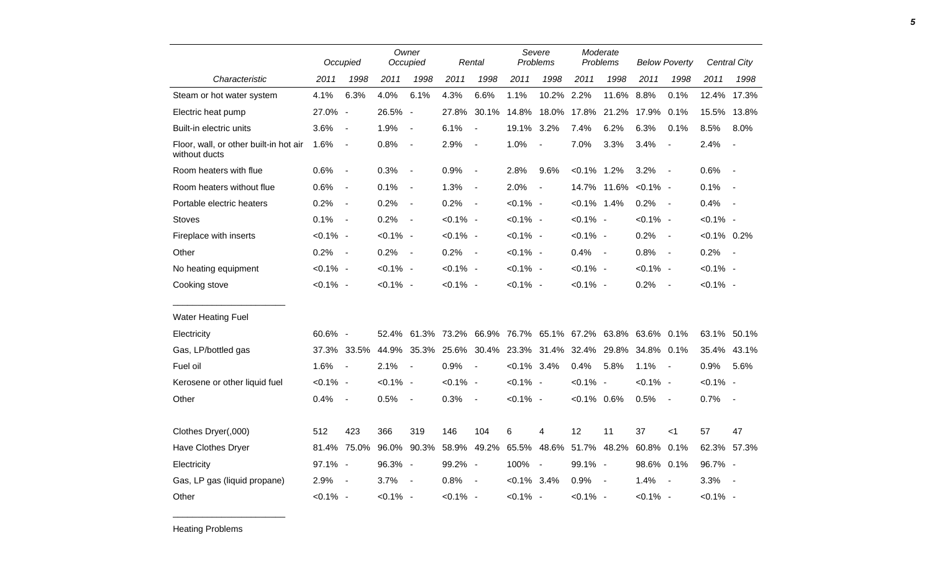|                                                         | Occupied    |                          | Owner<br>Occupied |                          | Rental      |                          | Severe<br>Problems |                          | Moderate<br>Problems |             | <b>Below Poverty</b> |                          | Central City   |                          |
|---------------------------------------------------------|-------------|--------------------------|-------------------|--------------------------|-------------|--------------------------|--------------------|--------------------------|----------------------|-------------|----------------------|--------------------------|----------------|--------------------------|
| Characteristic                                          | 2011        | 1998                     | 2011              | 1998                     | 2011        | 1998                     | 2011               | 1998                     | 2011                 | 1998        | 2011                 | 1998                     | 2011           | 1998                     |
| Steam or hot water system                               | 4.1%        | 6.3%                     | 4.0%              | 6.1%                     | 4.3%        | 6.6%                     | 1.1%               | 10.2%                    | 2.2%                 | 11.6%       | 8.8%                 | 0.1%                     | 12.4%          | 17.3%                    |
| Electric heat pump                                      | 27.0% -     |                          | 26.5% -           |                          | 27.8%       | 30.1%                    | 14.8%              | 18.0%                    | 17.8%                | 21.2%       | 17.9%                | 0.1%                     | 15.5%          | 13.8%                    |
| Built-in electric units                                 | 3.6%        | $\blacksquare$           | 1.9%              | $\overline{\phantom{a}}$ | 6.1%        | $\overline{\phantom{a}}$ | 19.1% 3.2%         |                          | 7.4%                 | 6.2%        | 6.3%                 | 0.1%                     | 8.5%           | 8.0%                     |
| Floor, wall, or other built-in hot air<br>without ducts | 1.6%        | $\blacksquare$           | 0.8%              | $\blacksquare$           | 2.9%        | $\overline{\phantom{a}}$ | 1.0%               | $\blacksquare$           | 7.0%                 | 3.3%        | 3.4%                 | $\blacksquare$           | 2.4%           | $\overline{\phantom{a}}$ |
| Room heaters with flue                                  | 0.6%        | $\overline{\phantom{a}}$ | 0.3%              | $\blacksquare$           | 0.9%        | $\overline{\phantom{a}}$ | 2.8%               | 9.6%                     | $< 0.1\%$ 1.2%       |             | 3.2%                 | $\overline{\phantom{a}}$ | 0.6%           | $\overline{\phantom{a}}$ |
| Room heaters without flue                               | 0.6%        | $\blacksquare$           | 0.1%              | $\overline{\phantom{a}}$ | 1.3%        | $\overline{\phantom{a}}$ | 2.0%               | $\overline{\phantom{a}}$ |                      | 14.7% 11.6% | $< 0.1\%$ -          |                          | 0.1%           | $\blacksquare$           |
| Portable electric heaters                               | 0.2%        | $\blacksquare$           | 0.2%              | $\blacksquare$           | 0.2%        | $\overline{\phantom{a}}$ | $< 0.1\%$ -        |                          | $< 0.1\%$ 1.4%       |             | 0.2%                 | $\sim$                   | 0.4%           | $\overline{\phantom{a}}$ |
| <b>Stoves</b>                                           | 0.1%        | $\blacksquare$           | 0.2%              | $\sim$                   | $< 0.1\%$ - |                          | $< 0.1\%$ -        |                          | $< 0.1\%$ -          |             | $< 0.1\%$ -          |                          | $< 0.1\%$ -    |                          |
| Fireplace with inserts                                  | $< 0.1\%$ - |                          | $< 0.1\%$ -       |                          | $< 0.1\%$ - |                          | $< 0.1\%$ -        |                          | $< 0.1\%$ -          |             | 0.2%                 | $\overline{\phantom{a}}$ | $< 0.1\%$ 0.2% |                          |
| Other                                                   | 0.2%        | $\blacksquare$           | 0.2%              | $\sim$                   | 0.2%        | $\sim$                   | $< 0.1\%$ -        |                          | 0.4%                 | $\sim$      | 0.8%                 | $\sim$                   | 0.2%           | $\sim$                   |
| No heating equipment                                    | $< 0.1\%$ - |                          | $< 0.1\%$ -       |                          | $< 0.1\%$ - |                          | $< 0.1\%$ -        |                          | $< 0.1\%$ -          |             | $< 0.1\%$ -          |                          | $< 0.1\%$ -    |                          |
| Cooking stove                                           | $< 0.1\%$ - |                          | $< 0.1\%$ -       |                          | $< 0.1\%$ - |                          | $< 0.1\%$ -        |                          | $< 0.1\%$ -          |             | 0.2%                 | $\overline{\phantom{a}}$ | $< 0.1\%$ -    |                          |
| <b>Water Heating Fuel</b>                               |             |                          |                   |                          |             |                          |                    |                          |                      |             |                      |                          |                |                          |
| Electricity                                             | 60.6% -     |                          | 52.4%             | 61.3%                    | 73.2%       |                          |                    | 66.9% 76.7% 65.1% 67.2%  |                      | 63.8%       | 63.6% 0.1%           |                          |                | 63.1% 50.1%              |
| Gas, LP/bottled gas                                     | 37.3%       | 33.5%                    | 44.9%             | 35.3%                    | 25.6%       | 30.4%                    |                    | 23.3% 31.4% 32.4%        |                      | 29.8%       | 34.8% 0.1%           |                          | 35.4%          | 43.1%                    |
| Fuel oil                                                | 1.6%        | $\blacksquare$           | 2.1%              | $\blacksquare$           | 0.9%        | $\overline{\phantom{a}}$ | $< 0.1\%$ 3.4%     |                          | 0.4%                 | 5.8%        | 1.1%                 | $\sim$                   | 0.9%           | 5.6%                     |
| Kerosene or other liquid fuel                           | $< 0.1\%$ - |                          | $< 0.1\%$ -       |                          | $< 0.1\%$ - |                          | $< 0.1\%$ -        |                          | $< 0.1\%$ -          |             | $< 0.1\%$ -          |                          | $< 0.1\%$ -    |                          |
| Other                                                   | 0.4%        | $\blacksquare$           | 0.5%              | $\overline{\phantom{a}}$ | 0.3%        | $\sim$                   | $< 0.1\%$ -        |                          | $< 0.1\%$ 0.6%       |             | 0.5%                 | $\blacksquare$           | 0.7%           | $\overline{\phantom{a}}$ |
| Clothes Dryer(,000)                                     | 512         | 423                      | 366               | 319                      | 146         | 104                      | 6                  | 4                        | 12                   | 11          | 37                   | $<$ 1                    | 57             | 47                       |
| Have Clothes Dryer                                      |             | 81.4% 75.0%              | 96.0%             | 90.3%                    | 58.9%       | 49.2%                    | 65.5%              | 48.6%                    | 51.7%                | 48.2%       | 60.8%                | 0.1%                     |                | 62.3% 57.3%              |
| Electricity                                             | 97.1% -     |                          | 96.3% -           |                          | 99.2% -     |                          | 100%               | $\overline{\phantom{a}}$ | 99.1% -              |             | 98.6% 0.1%           |                          | 96.7% -        |                          |
| Gas, LP gas (liquid propane)                            | 2.9%        | $\blacksquare$           | 3.7%              | $\sim$                   | 0.8%        | $\sim$                   | $< 0.1\%$ 3.4%     |                          | 0.9%                 | $\sim$      | 1.4%                 | $\sim$                   | 3.3%           | $\overline{\phantom{a}}$ |
| Other                                                   | $< 0.1\%$ - |                          | $< 0.1\%$ -       |                          | $< 0.1\%$ - |                          | $< 0.1\%$ -        |                          | $< 0.1\%$ -          |             | $< 0.1\%$ -          |                          | $< 0.1\%$ -    |                          |
|                                                         |             |                          |                   |                          |             |                          |                    |                          |                      |             |                      |                          |                |                          |

Heating Problems

\_\_\_\_\_\_\_\_\_\_\_\_\_\_\_\_\_\_\_\_\_\_\_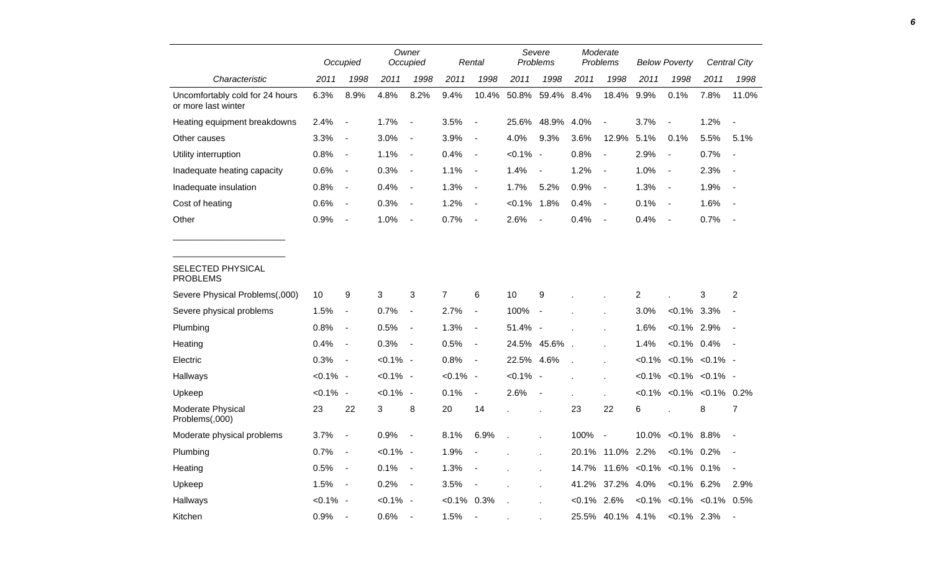|                                                        |             | Occupied       |             | Owner<br>Occupied |                | Rental          | Severe<br>Problems |                             |               | Moderate<br>Problems | <b>Below Poverty</b> |                                                   | Central City   |                          |
|--------------------------------------------------------|-------------|----------------|-------------|-------------------|----------------|-----------------|--------------------|-----------------------------|---------------|----------------------|----------------------|---------------------------------------------------|----------------|--------------------------|
| Characteristic                                         | 2011        | 1998           | 2011        | 1998              | 2011           | 1998            | 2011               | 1998                        | 2011          | 1998                 | 2011                 | 1998                                              | 2011           | 1998                     |
| Uncomfortably cold for 24 hours<br>or more last winter | 6.3%        | 8.9%           | 4.8%        | 8.2%              | 9.4%           | 10.4%           |                    | 50.8% 59.4% 8.4%            |               | 18.4%                | 9.9%                 | 0.1%                                              | 7.8%           | 11.0%                    |
| Heating equipment breakdowns                           | 2.4%        | $\sim$         | 1.7%        | $\blacksquare$    | 3.5%           | $\sim$          |                    | 25.6% 48.9%                 | 4.0%          | $\sim$               | 3.7%                 | $\blacksquare$                                    | 1.2%           | $\overline{\phantom{a}}$ |
| Other causes                                           | 3.3%        | $\sim$ $-$     | 3.0%        | $\blacksquare$    | 3.9%           | $\sim$          | 4.0%               | 9.3%                        | 3.6%          | 12.9%                | 5.1%                 | 0.1%                                              | 5.5%           | 5.1%                     |
| Utility interruption                                   | 0.8%        | $\sim$         | 1.1%        | $\blacksquare$    | 0.4%           | $\sim$          | $< 0.1\%$ -        |                             | 0.8%          | $\sim$               | 2.9%                 | $\blacksquare$                                    | 0.7%           | $\overline{\phantom{a}}$ |
| Inadequate heating capacity                            | 0.6%        | $\sim$ $-$     | 0.3%        | $\blacksquare$    | 1.1%           | $\sim$          | 1.4%               | $\blacksquare$              | 1.2%          | $\sim$ $-$           | 1.0%                 | $\blacksquare$                                    | 2.3%           | $\sim$                   |
| Inadequate insulation                                  | 0.8%        | $\sim$ $-$     | 0.4%        | $\blacksquare$    | 1.3%           | $\sim$          | 1.7%               | 5.2%                        | 0.9%          | $\sim$ $-$           | 1.3%                 | $\blacksquare$                                    | 1.9%           | $\sim$                   |
| Cost of heating                                        | 0.6%        | $\sim$ $-$     | 0.3%        | $\blacksquare$    | 1.2%           | $\sim$ $-$      | $< 0.1\%$ 1.8%     |                             | 0.4%          | $\sim$ $-$           | 0.1%                 | $\blacksquare$                                    | 1.6%           | $\sim$ $-$               |
| Other                                                  | 0.9%        | $\sim$         | 1.0%        | $\blacksquare$    | 0.7%           | $\sim$ $-$      | 2.6%               | $\blacksquare$              | 0.4%          | $\sim$               | 0.4%                 | $\blacksquare$                                    | 0.7%           | $\sim$ $-$               |
| SELECTED PHYSICAL<br><b>PROBLEMS</b>                   |             |                |             |                   |                |                 |                    |                             |               |                      |                      |                                                   |                |                          |
| Severe Physical Problems(,000)                         | 10          | 9              | 3           | $\mathbf{3}$      | $\overline{7}$ | 6               | 10                 | 9                           |               |                      | $\overline{c}$       |                                                   | 3              | 2                        |
| Severe physical problems                               | 1.5%        | $\blacksquare$ | 0.7%        | $\blacksquare$    | 2.7%           | $\blacksquare$  | 100% -             |                             |               |                      | 3.0%                 | $< 0.1\%$ 3.3%                                    |                |                          |
| Plumbing                                               | 0.8%        | $\sim$         | 0.5%        | $\blacksquare$    | 1.3%           | $\sim$          | 51.4% -            |                             |               |                      | 1.6%                 | $< 0.1\%$ 2.9%                                    |                | $\sim$                   |
| Heating                                                | 0.4%        | $\sim$         | 0.3%        | $\blacksquare$    | 0.5%           | $\sim$ $-$      |                    | 24.5% 45.6%.                |               |                      | 1.4%                 | $< 0.1\%$ 0.4%                                    |                | $\sim$                   |
| Electric                                               | 0.3%        | $\sim$ $-$     | $< 0.1\%$ - |                   | 0.8%           | $\sim$          | 22.5% 4.6%         |                             | $\mathcal{L}$ |                      |                      | $< 0.1\%$ < 0.1% < 0.1% -                         |                |                          |
| Hallways                                               | $< 0.1\%$ - |                | $< 0.1\%$ - |                   | $< 0.1\%$ -    |                 | $< 0.1\%$ -        |                             |               |                      |                      | $< 0.1\%$ < 0.1% < 0.1% -                         |                |                          |
| Upkeep                                                 | $< 0.1\%$ - |                | $< 0.1\%$ - |                   | 0.1%           | $\sim$          | 2.6%               | $\sim$                      |               |                      |                      | $< 0.1\%$ $< 0.1\%$ $< 0.1\%$ 0.2%                |                |                          |
| Moderate Physical<br>Problems(,000)                    | 23          | 22             | 3           | 8                 | 20             | 14              |                    | $\mathbf{r}$                | 23            | 22                   | 6                    |                                                   | 8              | $\overline{7}$           |
| Moderate physical problems                             | 3.7%        | $\sim$         | 0.9%        | $\blacksquare$    | 8.1%           | 6.9%            |                    |                             | 100% -        |                      |                      | 10.0% <0.1% 8.8%                                  |                |                          |
| Plumbing                                               | $0.7\%$ -   |                | $< 0.1\%$ - |                   | 1.9%           | $\sim$          |                    |                             |               | 20.1% 11.0% 2.2%     |                      |                                                   | $< 0.1\%$ 0.2% |                          |
| Heating                                                | $0.5\%$ -   |                | $0.1\%$ -   |                   | $1.3\%$ -      |                 | All Controller     |                             |               |                      |                      | 14.7% 11.6% < 0.1% < 0.1% 0.1% -                  |                |                          |
| Upkeep                                                 | $1.5% -$    |                | $0.2\%$ -   |                   | $3.5\%$ -      |                 |                    | $\mathcal{L}^{\mathcal{L}}$ |               |                      |                      | 41.2% 37.2% 4.0% < 0.1% 6.2% 2.9%                 |                |                          |
| Hallways                                               | $< 0.1\%$ - |                | $< 0.1\%$ - |                   |                | $< 0.1\%$ 0.3%. |                    | $\sim$                      |               |                      |                      | $< 0.1\%$ 2.6% $< 0.1\%$ $< 0.1\%$ $< 0.1\%$ 0.5% |                |                          |
| Kitchen                                                | $0.9\%$ -   |                | $0.6\%$ -   |                   |                | $1.5\%$ .       |                    | $\mathbf{r}$                |               |                      |                      | 25.5% 40.1% 4.1% <0.1% 2.3% -                     |                |                          |